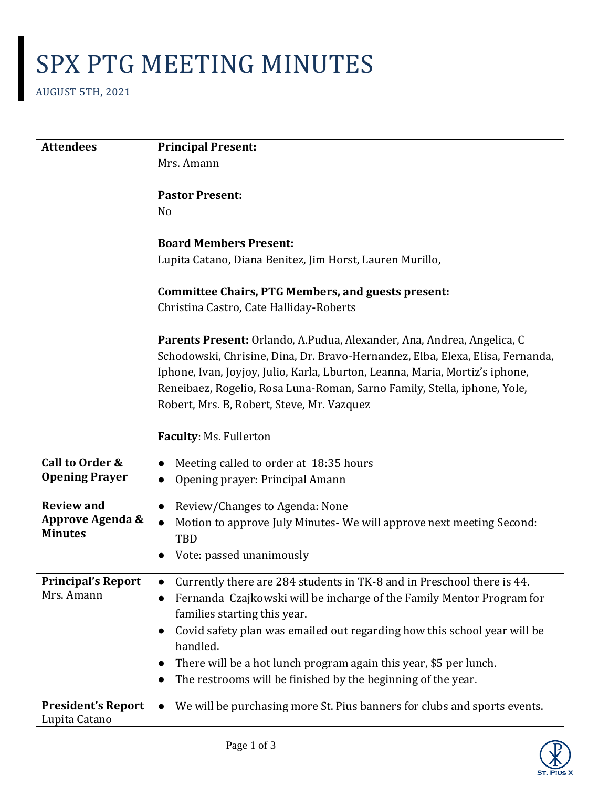## SPX PTG MEETING MINUTES

AUGUST 5TH, 2021

| <b>Attendees</b>            | <b>Principal Present:</b>                                                        |
|-----------------------------|----------------------------------------------------------------------------------|
|                             | Mrs. Amann                                                                       |
|                             |                                                                                  |
|                             | <b>Pastor Present:</b>                                                           |
|                             | N <sub>o</sub>                                                                   |
|                             |                                                                                  |
|                             | <b>Board Members Present:</b>                                                    |
|                             | Lupita Catano, Diana Benitez, Jim Horst, Lauren Murillo,                         |
|                             | <b>Committee Chairs, PTG Members, and guests present:</b>                        |
|                             | Christina Castro, Cate Halliday-Roberts                                          |
|                             |                                                                                  |
|                             | Parents Present: Orlando, A.Pudua, Alexander, Ana, Andrea, Angelica, C           |
|                             | Schodowski, Chrisine, Dina, Dr. Bravo-Hernandez, Elba, Elexa, Elisa, Fernanda,   |
|                             | Iphone, Ivan, Joyjoy, Julio, Karla, Lburton, Leanna, Maria, Mortiz's iphone,     |
|                             | Reneibaez, Rogelio, Rosa Luna-Roman, Sarno Family, Stella, iphone, Yole,         |
|                             | Robert, Mrs. B, Robert, Steve, Mr. Vazquez                                       |
|                             |                                                                                  |
|                             | Faculty: Ms. Fullerton                                                           |
| Call to Order &             | Meeting called to order at 18:35 hours<br>$\bullet$                              |
| <b>Opening Prayer</b>       | Opening prayer: Principal Amann                                                  |
| <b>Review and</b>           | Review/Changes to Agenda: None<br>$\bullet$                                      |
| <b>Approve Agenda &amp;</b> | Motion to approve July Minutes-We will approve next meeting Second:<br>$\bullet$ |
| <b>Minutes</b>              | TBD                                                                              |
|                             | Vote: passed unanimously                                                         |
|                             |                                                                                  |
| <b>Principal's Report</b>   | Currently there are 284 students in TK-8 and in Preschool there is 44.           |
| Mrs. Amann                  | Fernanda Czajkowski will be incharge of the Family Mentor Program for            |
|                             | families starting this year.                                                     |
|                             | Covid safety plan was emailed out regarding how this school year will be         |
|                             | handled.                                                                         |
|                             | There will be a hot lunch program again this year, \$5 per lunch.                |
|                             | The restrooms will be finished by the beginning of the year.                     |
| <b>President's Report</b>   | We will be purchasing more St. Pius banners for clubs and sports events.         |
| Lupita Catano               |                                                                                  |

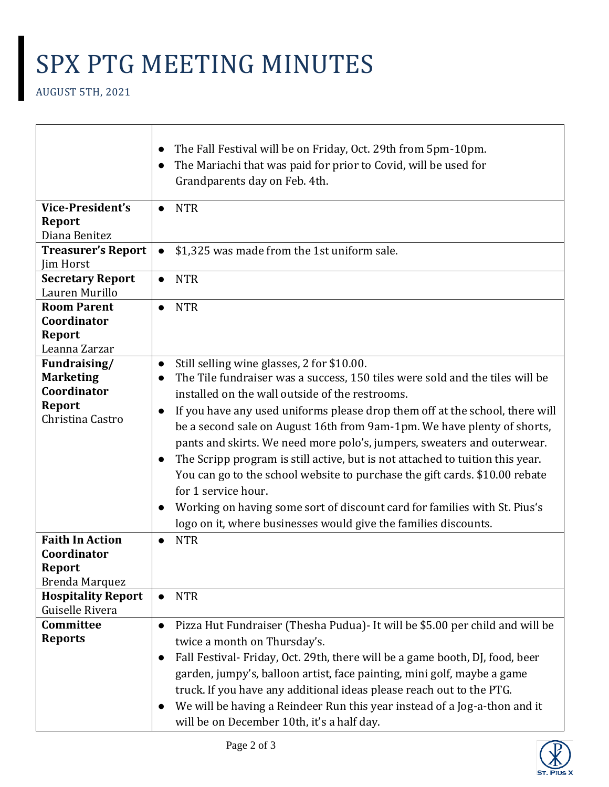## SPX PTG MEETING MINUTES

|                                        | The Fall Festival will be on Friday, Oct. 29th from 5pm-10pm.<br>$\bullet$                 |
|----------------------------------------|--------------------------------------------------------------------------------------------|
|                                        | The Mariachi that was paid for prior to Covid, will be used for                            |
|                                        | Grandparents day on Feb. 4th.                                                              |
| <b>Vice-President's</b>                | <b>NTR</b><br>$\bullet$                                                                    |
| <b>Report</b>                          |                                                                                            |
| Diana Benitez                          |                                                                                            |
| <b>Treasurer's Report</b><br>Jim Horst | \$1,325 was made from the 1st uniform sale.                                                |
| <b>Secretary Report</b>                | <b>NTR</b><br>$\bullet$                                                                    |
| Lauren Murillo                         |                                                                                            |
| <b>Room Parent</b>                     | <b>NTR</b>                                                                                 |
| Coordinator                            |                                                                                            |
| Report                                 |                                                                                            |
| Leanna Zarzar                          |                                                                                            |
| Fundraising/                           | Still selling wine glasses, 2 for \$10.00.<br>$\bullet$                                    |
| <b>Marketing</b>                       | The Tile fundraiser was a success, 150 tiles were sold and the tiles will be<br>$\bullet$  |
| Coordinator                            | installed on the wall outside of the restrooms.                                            |
| <b>Report</b><br>Christina Castro      | If you have any used uniforms please drop them off at the school, there will<br>$\bullet$  |
|                                        | be a second sale on August 16th from 9am-1pm. We have plenty of shorts,                    |
|                                        | pants and skirts. We need more polo's, jumpers, sweaters and outerwear.                    |
|                                        | The Scripp program is still active, but is not attached to tuition this year.<br>$\bullet$ |
|                                        | You can go to the school website to purchase the gift cards. \$10.00 rebate                |
|                                        | for 1 service hour.                                                                        |
|                                        | Working on having some sort of discount card for families with St. Pius's<br>$\bullet$     |
|                                        | logo on it, where businesses would give the families discounts.                            |
| <b>Faith In Action</b>                 | <b>NTR</b>                                                                                 |
| Coordinator                            |                                                                                            |
| Report                                 |                                                                                            |
| Brenda Marquez                         |                                                                                            |
| <b>Hospitality Report</b>              | <b>NTR</b><br>$\bullet$                                                                    |
| Guiselle Rivera<br>Committee           |                                                                                            |
| <b>Reports</b>                         | Pizza Hut Fundraiser (Thesha Pudua) - It will be \$5.00 per child and will be<br>$\bullet$ |
|                                        | twice a month on Thursday's.                                                               |
|                                        | Fall Festival- Friday, Oct. 29th, there will be a game booth, DJ, food, beer<br>$\bullet$  |
|                                        | garden, jumpy's, balloon artist, face painting, mini golf, maybe a game                    |
|                                        | truck. If you have any additional ideas please reach out to the PTG.                       |
|                                        | We will be having a Reindeer Run this year instead of a Jog-a-thon and it<br>$\bullet$     |
|                                        | will be on December 10th, it's a half day.                                                 |